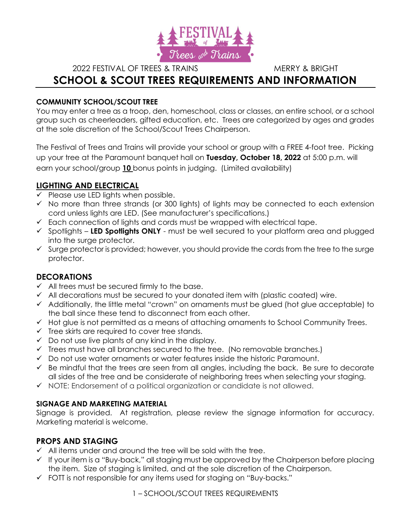

2022 FESTIVAL OF TREES & TRAINS MERRY & BRIGHT

# SCHOOL & SCOUT TREES REQUIREMENTS AND INFORMATION

## COMMUNITY SCHOOL/SCOUT TREE

You may enter a tree as a troop, den, homeschool, class or classes, an entire school, or a school group such as cheerleaders, gifted education, etc. Trees are categorized by ages and grades at the sole discretion of the School/Scout Trees Chairperson.

The Festival of Trees and Trains will provide your school or group with a FREE 4-foot tree. Picking up your tree at the Paramount banquet hall on Tuesday, October 18, 2022 at 5:00 p.m. will earn your school/group 10 bonus points in judging. (Limited availability)

# LIGHTING AND ELECTRICAL

- $\checkmark$  Please use LED lights when possible.
- $\checkmark$  No more than three strands (or 300 lights) of lights may be connected to each extension cord unless lights are LED. (See manufacturer's specifications.)
- $\checkmark$  Each connection of lights and cords must be wrapped with electrical tape.
- $\checkmark$  Spotlights LED Spotlights ONLY must be well secured to your platform area and plugged into the surge protector.
- $\checkmark$  Surge protector is provided; however, you should provide the cords from the tree to the surge protector.

# DECORATIONS

- $\checkmark$  All trees must be secured firmly to the base.
- $\checkmark$  All decorations must be secured to your donated item with (plastic coated) wire.
- Additionally, the little metal "crown" on ornaments must be glued (hot glue acceptable) to the ball since these tend to disconnect from each other.
- $\checkmark$  Hot glue is not permitted as a means of attaching ornaments to School Community Trees.
- $\checkmark$  Tree skirts are required to cover tree stands.
- $\checkmark$  Do not use live plants of any kind in the display.
- $\checkmark$  Trees must have all branches secured to the tree. (No removable branches.)
- $\checkmark$  Do not use water ornaments or water features inside the historic Paramount.
- $\checkmark$  be mindful that the trees are seen from all angles, including the back. Be sure to decorate all sides of the tree and be considerate of neighboring trees when selecting your staging.
- $\checkmark$  NOTE: Endorsement of a political organization or candidate is not allowed.

# SIGNAGE AND MARKETING MATERIAL

Signage is provided. At registration, please review the signage information for accuracy. Marketing material is welcome.

# PROPS AND STAGING

- $\checkmark$  All items under and around the tree will be sold with the tree.
- $\checkmark$  If your item is a "Buy-back," all staging must be approved by the Chairperson before placing the item. Size of staging is limited, and at the sole discretion of the Chairperson.
- $\checkmark$  FOTT is not responsible for any items used for staging on "Buy-backs."